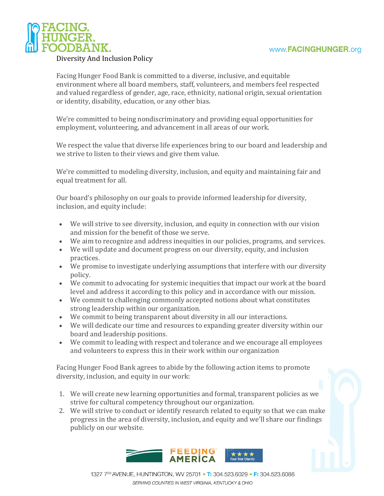

## Diversity And Inclusion Policy

Facing Hunger Food Bank is committed to a diverse, inclusive, and equitable environment where all board members, staff, volunteers, and members feel respected and valued regardless of gender, age, race, ethnicity, national origin, sexual orientation or identity, disability, education, or any other bias.

We're committed to being nondiscriminatory and providing equal opportunities for employment, volunteering, and advancement in all areas of our work.

We respect the value that diverse life experiences bring to our board and leadership and we strive to listen to their views and give them value.

We're committed to modeling diversity, inclusion, and equity and maintaining fair and equal treatment for all.

Our board's philosophy on our goals to provide informed leadership for diversity, inclusion, and equity include:

- We will strive to see diversity, inclusion, and equity in connection with our vision and mission for the benefit of those we serve.
- We aim to recognize and address inequities in our policies, programs, and services.
- We will update and document progress on our diversity, equity, and inclusion practices.
- We promise to investigate underlying assumptions that interfere with our diversity policy.
- We commit to advocating for systemic inequities that impact our work at the board level and address it according to this policy and in accordance with our mission.
- We commit to challenging commonly accepted notions about what constitutes strong leadership within our organization.
- We commit to being transparent about diversity in all our interactions.
- We will dedicate our time and resources to expanding greater diversity within our board and leadership positions.
- We commit to leading with respect and tolerance and we encourage all employees and volunteers to express this in their work within our organization

Facing Hunger Food Bank agrees to abide by the following action items to promote diversity, inclusion, and equity in our work:

- 1. We will create new learning opportunities and formal, transparent policies as we strive for cultural competency throughout our organization.
- 2. We will strive to conduct or identify research related to equity so that we can make progress in the area of diversity, inclusion, and equity and we'll share our findings publicly on our website.